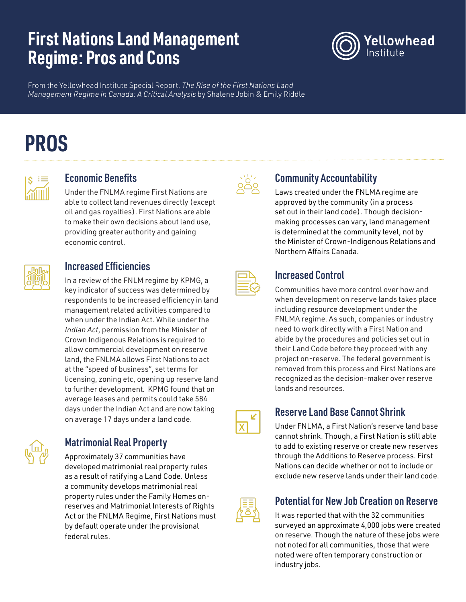# **First Nations Land Management Regime: Pros and Cons**



From the Yellowhead Institute Special Report, *The Rise of the First Nations Land Management Regime in Canada: A Critical Analysis* by Shalene Jobin & Emily Riddle

# **PROS**



#### Economic Benefits

Under the FNLMA regime First Nations are able to collect land revenues directly (except oil and gas royalties). First Nations are able to make their own decisions about land use, providing greater authority and gaining economic control.

# Increased Efficiencies

In a review of the FNLM regime by KPMG, a key indicator of success was determined by respondents to be increased efficiency in land management related activities compared to when under the Indian Act. While under the *Indian Act*, permission from the Minister of Crown Indigenous Relations is required to allow commercial development on reserve land, the FNLMA allows First Nations to act at the "speed of business", set terms for licensing, zoning etc, opening up reserve land to further development. KPMG found that on average leases and permits could take 584 days under the Indian Act and are now taking on average 17 days under a land code.



### Matrimonial Real Property

Approximately 37 communities have developed matrimonial real property rules as a result of ratifying a Land Code. Unless a community develops matrimonial real property rules under the Family Homes onreserves and Matrimonial Interests of Rights Act or the FNLMA Regime, First Nations must by default operate under the provisional federal rules.



#### Community Accountability

Laws created under the FNLMA regime are approved by the community (in a process set out in their land code). Though decisionmaking processes can vary, land management is determined at the community level, not by the Minister of Crown-Indigenous Relations and Northern Affairs Canada.

### Increased Control

Communities have more control over how and when development on reserve lands takes place including resource development under the FNLMA regime. As such, companies or industry need to work directly with a First Nation and abide by the procedures and policies set out in their Land Code before they proceed with any project on-reserve. The federal government is removed from this process and First Nations are recognized as the decision-maker over reserve lands and resources.

 $\overline{\mathsf{x}}$ 

#### Reserve Land Base Cannot Shrink

Under FNLMA, a First Nation's reserve land base cannot shrink. Though, a First Nation is still able to add to existing reserve or create new reserves through the Additions to Reserve process. First Nations can decide whether or not to include or exclude new reserve lands under their land code.



#### Potential for New Job Creation on Reserve

It was reported that with the 32 communities surveyed an approximate 4,000 jobs were created on reserve. Though the nature of these jobs were not noted for all communities, those that were noted were often temporary construction or industry jobs.